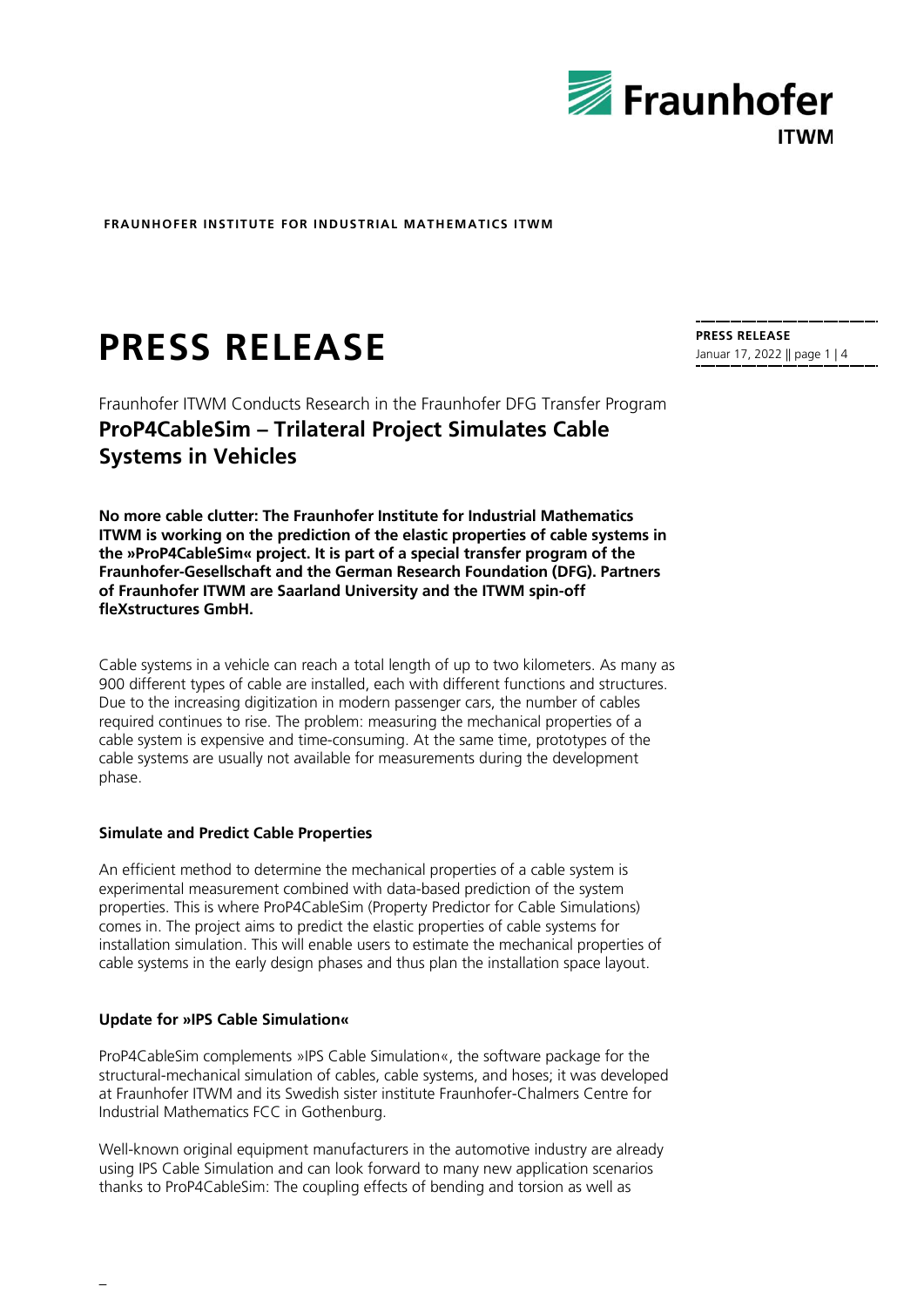

# **PRESS RELEASE PRESS RELEASE PRESS RELEASE**

Fraunhofer ITWM Conducts Research in the Fraunhofer DFG Transfer Program **ProP4CableSim – Trilateral Project Simulates Cable Systems in Vehicles**

**No more cable clutter: The Fraunhofer Institute for Industrial Mathematics ITWM is working on the prediction of the elastic properties of cable systems in the »ProP4CableSim« project. It is part of a special transfer program of the Fraunhofer-Gesellschaft and the German Research Foundation (DFG). Partners of Fraunhofer ITWM are Saarland University and the ITWM spin-off fleXstructures GmbH.** 

Cable systems in a vehicle can reach a total length of up to two kilometers. As many as 900 different types of cable are installed, each with different functions and structures. Due to the increasing digitization in modern passenger cars, the number of cables required continues to rise. The problem: measuring the mechanical properties of a cable system is expensive and time-consuming. At the same time, prototypes of the cable systems are usually not available for measurements during the development phase.

# **Simulate and Predict Cable Properties**

An efficient method to determine the mechanical properties of a cable system is experimental measurement combined with data-based prediction of the system properties. This is where ProP4CableSim (Property Predictor for Cable Simulations) comes in. The project aims to predict the elastic properties of cable systems for installation simulation. This will enable users to estimate the mechanical properties of cable systems in the early design phases and thus plan the installation space layout.

# **Update for »IPS Cable Simulation«**

ProP4CableSim complements »IPS Cable Simulation«, the software package for the structural-mechanical simulation of cables, cable systems, and hoses; it was developed at Fraunhofer ITWM and its Swedish sister institute Fraunhofer-Chalmers Centre for Industrial Mathematics FCC in Gothenburg.

Well-known original equipment manufacturers in the automotive industry are already using IPS Cable Simulation and can look forward to many new application scenarios thanks to ProP4CableSim: The coupling effects of bending and torsion as well as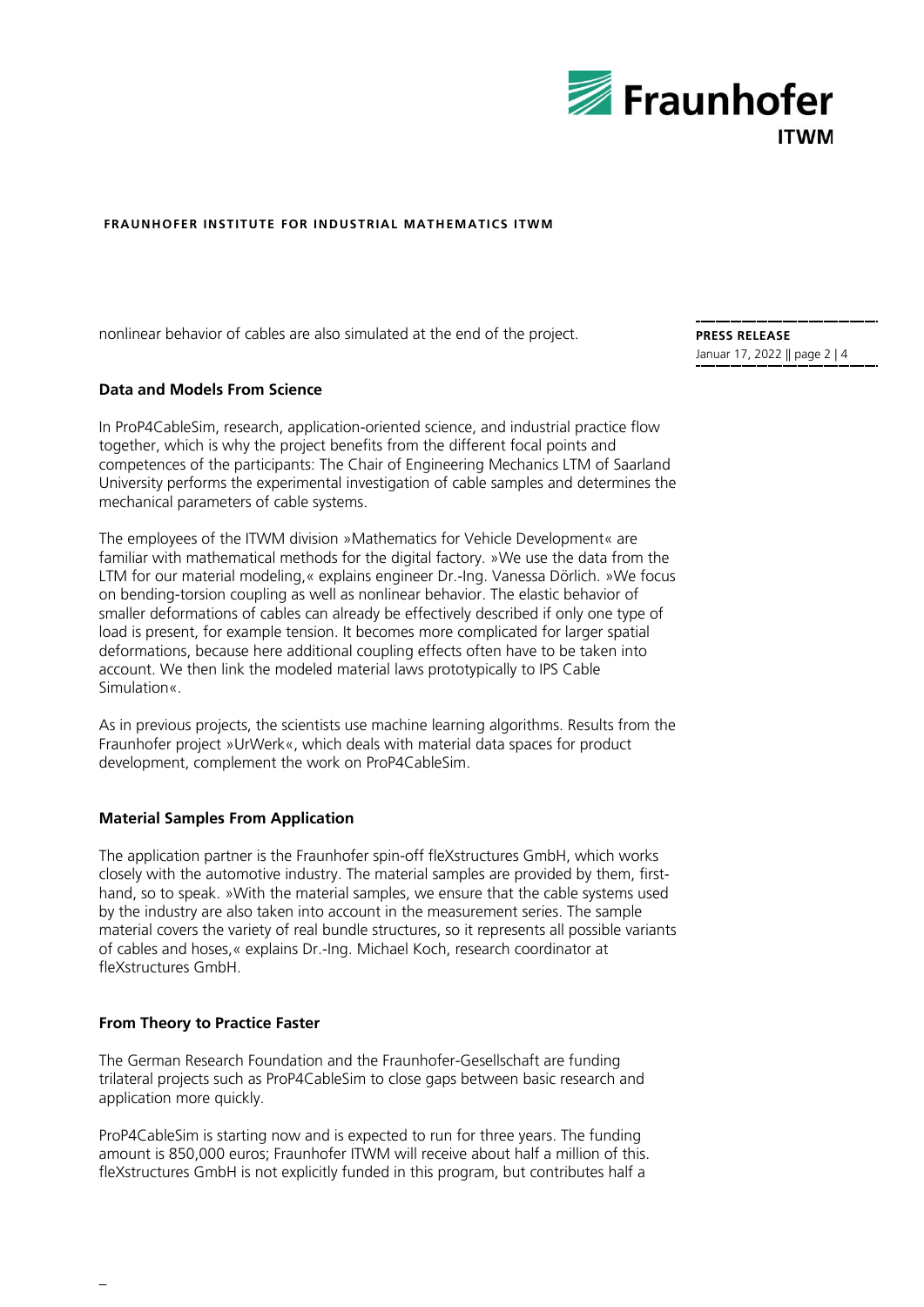

nonlinear behavior of cables are also simulated at the end of the project.

## **Data and Models From Science**

In ProP4CableSim, research, application-oriented science, and industrial practice flow together, which is why the project benefits from the different focal points and competences of the participants: The Chair of Engineering Mechanics LTM of Saarland University performs the experimental investigation of cable samples and determines the mechanical parameters of cable systems.

The employees of the ITWM division »Mathematics for Vehicle Development« are familiar with mathematical methods for the digital factory. »We use the data from the LTM for our material modeling,« explains engineer Dr.-Ing. Vanessa Dörlich. »We focus on bending-torsion coupling as well as nonlinear behavior. The elastic behavior of smaller deformations of cables can already be effectively described if only one type of load is present, for example tension. It becomes more complicated for larger spatial deformations, because here additional coupling effects often have to be taken into account. We then link the modeled material laws prototypically to IPS Cable Simulation«.

As in previous projects, the scientists use machine learning algorithms. Results from the Fraunhofer project »UrWerk«, which deals with material data spaces for product development, complement the work on ProP4CableSim.

#### **Material Samples From Application**

The application partner is the Fraunhofer spin-off fleXstructures GmbH, which works closely with the automotive industry. The material samples are provided by them, firsthand, so to speak. »With the material samples, we ensure that the cable systems used by the industry are also taken into account in the measurement series. The sample material covers the variety of real bundle structures, so it represents all possible variants of cables and hoses,« explains Dr.-Ing. Michael Koch, research coordinator at fleXstructures GmbH.

#### **From Theory to Practice Faster**

The German Research Foundation and the Fraunhofer-Gesellschaft are funding trilateral projects such as ProP4CableSim to close gaps between basic research and application more quickly.

ProP4CableSim is starting now and is expected to run for three years. The funding amount is 850,000 euros; Fraunhofer ITWM will receive about half a million of this. fleXstructures GmbH is not explicitly funded in this program, but contributes half a

**PRESS RELEASE** Januar 17, 2022 || page 2 | 4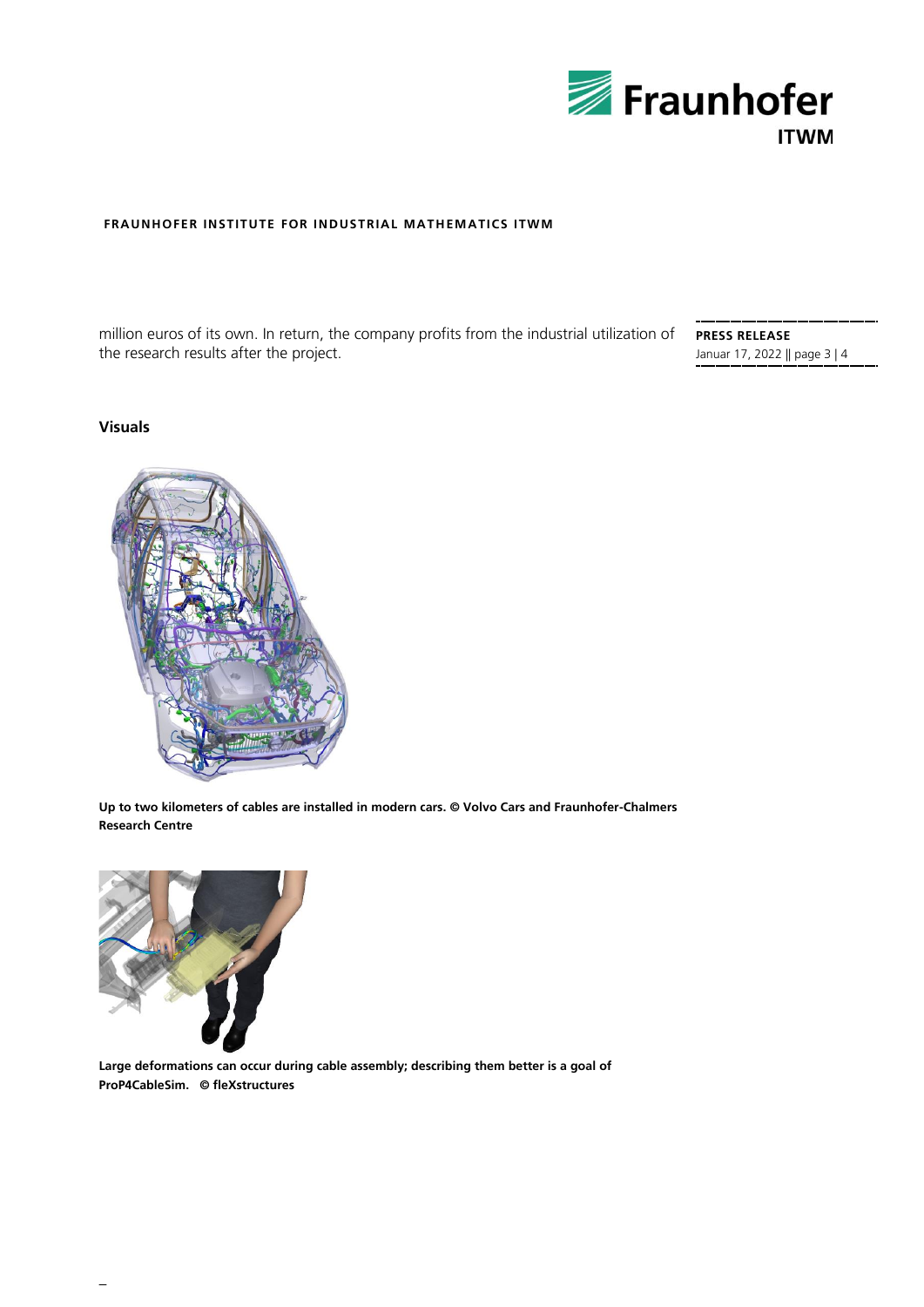

million euros of its own. In return, the company profits from the industrial utilization of **PRESS RELEASE** the research results after the project.

Januar 17, 2022 || page 3 | 4

# **Visuals**



**Up to two kilometers of cables are installed in modern cars. © Volvo Cars and Fraunhofer-Chalmers Research Centre**



**Large deformations can occur during cable assembly; describing them better is a goal of ProP4CableSim. © fleXstructures**